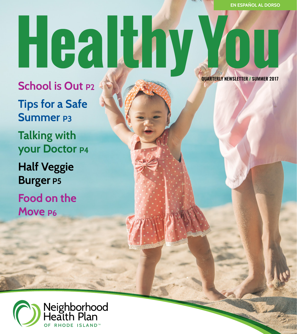# Healthy YOTT.

**School is Out P2 Tips for a Safe Summer P3 Talking with your Doctor P4 Half Veggie Burger P5 Food on the Move P6**

 **QUARTERLY NEWSLETTER // SUMMER 2017**

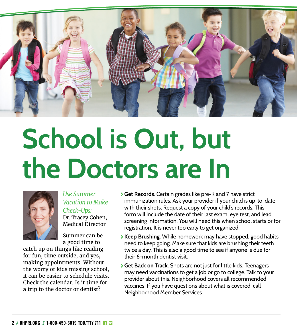

## **School is Out, but the Doctors are In**



*Use Summer Vacation to Make Check-Ups:* Dr. Tracey Cohen,

Medical Director Summer can be

a good time to

catch up on things like reading for fun, time outside, and yes, making appointments. Without the worry of kids missing school, it can be easier to schedule visits. Check the calendar. Is it time for a trip to the doctor or dentist?

- \ **Get Records**. Certain grades like pre-K and 7 have strict immunization rules. Ask your provider if your child is up-to-date with their shots. Request a copy of your child's records. This form will include the date of their last exam, eye test, and lead screening information. You will need this when school starts or for registration. It is never too early to get organized.
- \ **Keep Brushing**. While homework may have stopped, good habits need to keep going. Make sure that kids are brushing their teeth twice a day. This is also a good time to see if anyone is due for their 6-month dentist visit.
- \ **Get Back on Track**. Shots are not just for little kids. Teenagers may need vaccinations to get a job or go to college. Talk to your provider about this. Neighborhood covers all recommended vaccines. If you have questions about what is covered, call Neighborhood Member Services.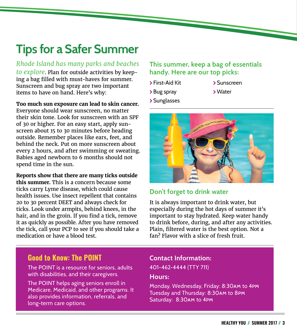## **Tips for a Safer Summer**

*Rhode Island has many parks and beaches to explore*. Plan for outside activities by keeping a bag filled with must-haves for summer. Sunscreen and bug spray are two important items to have on hand. Here's why:

**Too much sun exposure can lead to skin cancer.**

Everyone should wear sunscreen, no matter their skin tone. Look for sunscreen with an SPF of 30 or higher. For an easy start, apply sunscreen about 15 to 30 minutes before heading outside. Remember places like ears, feet, and behind the neck. Put on more sunscreen about every 2 hours, and after swimming or sweating. Babies aged newborn to 6 months should not spend time in the sun.

**Reports show that there are many ticks outside this summer.** This is a concern because some ticks carry Lyme disease, which could cause health issues. Use insect repellent that contains 20 to 30 percent DEET and always check for ticks. Look under armpits, behind knees, in the hair, and in the groin. If you find a tick, remove it as quickly as possible. After you have removed the tick, call your PCP to see if you should take a medication or have a blood test.

### **This summer, keep a bag of essentials handy. Here are our top picks:**

- \ First-Aid Kit
- > Bug spray
- \ Sunscreen
- \Water
- \ Sunglasses



## **Don't forget to drink water**

It is always important to drink water, but especially during the hot days of summer it's important to stay hydrated. Keep water handy to drink before, during, and after any activities. Plain, filtered water is the best option. Not a fan? Flavor with a slice of fresh fruit.

## **Good to Know: The POINT**

The POINT is a resource for seniors, adults with disabilities, and their caregivers.

The POINT helps aging seniors enroll in Medicare, Medicaid, and other programs. It also provides information, referrals, and long-term care options.

## **Contact Information:**

401-462-4444 (TTY 711)

#### **Hours:**

Monday, Wednesday, Friday: 8:30am to 4pm Tuesday and Thursday: 8:30am to 8pm Saturday: 8:30am to 4pm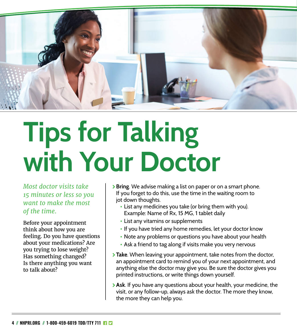

## **Tips for Talking with Your Doctor**

*Most doctor visits take 15 minutes or less so you want to make the most of the time.*

Before your appointment think about how you are feeling. Do you have questions about your medications? Are you trying to lose weight? Has something changed? Is there anything you want to talk about?

- \ **Bring**. We advise making a list on paper or on a smart phone. If you forget to do this, use the time in the waiting room to jot down thoughts.
	- **•** List any medicines you take (or bring them with you). Example: Name of Rx, 15 MG, 1 tablet daily
	- **•** List any vitamins or supplements
	- **•** If you have tried any home remedies, let your doctor know
	- **•** Note any problems or questions you have about your health
	- **•** Ask a friend to tag along if visits make you very nervous
- **Take**. When leaving your appointment, take notes from the doctor, an appointment card to remind you of your next appointment, and anything else the doctor may give you. Be sure the doctor gives you printed instructions, or write things down yourself.
- \ **Ask**. If you have any questions about your health, your medicine, the visit, or any follow-up, always ask the doctor. The more they know, the more they can help you.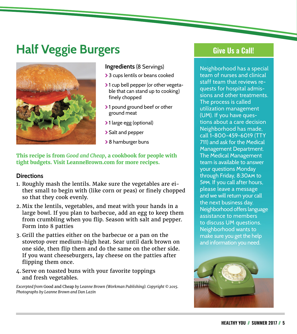## **Half Veggie Burgers**



#### **Ingredients** (8 Servings)

- > 3 cups lentils or beans cooked
- >1 cup bell pepper (or other vegetable that can stand up to cooking) finely chopped
- >1 pound ground beef or other ground meat
- > 1 large egg (optional)
- > Salt and pepper
- **>** 8 hamburger buns

#### **This recipe is from** *Good and Cheap***, a cookbook for people with tight budgets. Visit LeanneBrown.com for more recipes.**

#### **Directions**

- 1. Roughly mash the lentils. Make sure the vegetables are either small to begin with (like corn or peas) or finely chopped so that they cook evenly.
- 2. Mix the lentils, vegetables, and meat with your hands in a large bowl. If you plan to barbecue, add an egg to keep them from crumbling when you flip. Season with salt and pepper. Form into 8 patties
- 3. Grill the patties either on the barbecue or a pan on the stovetop over medium-high heat. Sear until dark brown on one side, then flip them and do the same on the other side. If you want cheeseburgers, lay cheese on the patties after flipping them once.
- 4. Serve on toasted buns with your favorite toppings and fresh vegetables.

*Excerpted from* Good and Cheap *by Leanne Brown (Workman Publishing). Copyright © 2015. Photographs by Leanne Brown and Dan Lazin*

## **Give Us a Call!**

Neighborhood has a special team of nurses and clinical staff team that reviews requests for hospital admissions and other treatments. The process is called utilization management (UM). If you have questions about a care decision Neighborhood has made, call 1-800-459-6019 (TTY 711) and ask for the Medical Management Department. The Medical Management team is available to answer your questions Monday through Friday, 8:30am to 5pm. If you call after hours, please leave a message and we will return your call the next business day. Neighborhood offers language assistance to members to discuss UM questions. Neighborhood wants to make sure you get the help and information you need.